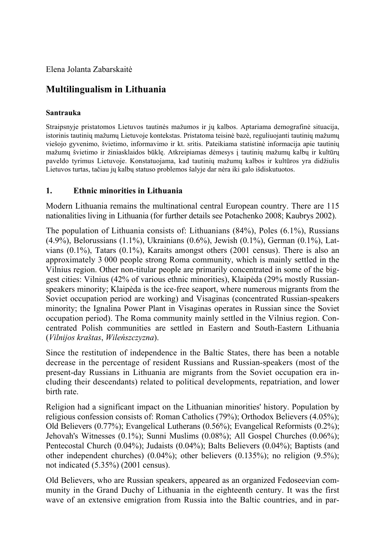Elena Jolanta Zabarskaitė

# **Multilingualism in Lithuania**

#### **Santrauka**

Straipsnyje pristatomos Lietuvos tautinės mažumos ir jų kalbos. Aptariama demografinė situacija, istorinis tautinių mažumų Lietuvoje kontekstas. Pristatoma teisinė bazė, reguliuojanti tautinių mažumų viešojo gyvenimo, švietimo, informavimo ir kt. sritis. Pateikiama statistinė informacija apie tautinių mažumų švietimo ir žiniasklaidos būklę. Atkreipiamas dėmesys į tautinių mažumų kalbų ir kultūrų paveldo tyrimus Lietuvoje. Konstatuojama, kad tautinių mažumų kalbos ir kultūros yra didžiulis Lietuvos turtas, tačiau jų kalbų statuso problemos šalyje dar nėra iki galo išdiskutuotos.

#### **1. Ethnic minorities in Lithuania**

Modern Lithuania remains the multinational central European country. There are 115 nationalities living in Lithuania (for further details see Potachenko 2008; Kaubrys 2002).

The population of Lithuania consists of: Lithuanians (84%), Poles (6.1%), Russians (4.9%), Belorussians (1.1%), Ukrainians (0.6%), Jewish (0.1%), German (0.1%), Latvians (0.1%), Tatars (0.1%), Karaits amongst others (2001 census). There is also an approximately 3 000 people strong Roma community, which is mainly settled in the Vilnius region. Other non-titular people are primarily concentrated in some of the biggest cities: Vilnius (42% of various ethnic minorities), Klaipėda (29% mostly Russianspeakers minority; Klaipėda is the ice-free seaport, where numerous migrants from the Soviet occupation period are working) and Visaginas (concentrated Russian-speakers minority; the Ignalina Power Plant in Visaginas operates in Russian since the Soviet occupation period). The Roma community mainly settled in the Vilnius region. Concentrated Polish communities are settled in Eastern and South-Eastern Lithuania (*Vilnijos kraštas*, *Wileńszczyzna*).

Since the restitution of independence in the Baltic States, there has been a notable decrease in the percentage of resident Russians and Russian-speakers (most of the present-day Russians in Lithuania are migrants from the Soviet occupation era including their descendants) related to political developments, repatriation, and lower birth rate.

Religion had a significant impact on the Lithuanian minorities' history. Population by religious confession consists of: Roman Catholics (79%); Orthodox Believers (4.05%); Old Believers (0.77%); Evangelical Lutherans (0.56%); Evangelical Reformists (0.2%); Jehovah's Witnesses (0.1%); Sunni Muslims (0.08%); All Gospel Churches (0.06%); Pentecostal Church (0.04%); Judaists (0.04%); Balts Believers (0.04%); Baptists (and other independent churches) (0.04%); other believers (0.135%); no religion (9.5%); not indicated (5.35%) (2001 census).

Old Believers, who are Russian speakers, appeared as an organized Fedoseevian community in the Grand Duchy of Lithuania in the eighteenth century. It was the first wave of an extensive emigration from Russia into the Baltic countries, and in par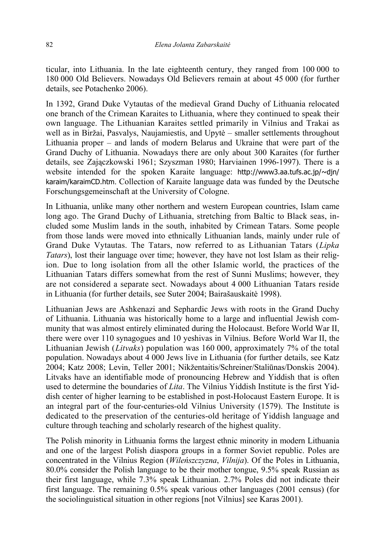ticular, into Lithuania. In the late eighteenth century, they ranged from 100 000 to 180 000 Old Believers. Nowadays Old Believers remain at about 45 000 (for further details, see Potachenko 2006).

In 1392, Grand Duke Vytautas of the medieval Grand Duchy of Lithuania relocated one branch of the Crimean Karaites to Lithuania, where they continued to speak their own language. The Lithuanian Karaites settled primarily in Vilnius and Trakai as well as in Biržai, Pasvalys, Naujamiestis, and Upytė – smaller settlements throughout Lithuania proper – and lands of modern Belarus and Ukraine that were part of the Grand Duchy of Lithuania. Nowadays there are only about 300 Karaites (for further details, see Zajączkowski 1961; Szyszman 1980; Harviainen 1996-1997). There is a website intended for the spoken Karaite language: http://www3.aa.tufs.ac.jp/~djn/ karaim/karaimCD.htm. Collection of Karaite language data was funded by the Deutsche Forschungsgemeinschaft at the University of Cologne.

In Lithuania, unlike many other northern and western European countries, Islam came long ago. The Grand Duchy of Lithuania, stretching from Baltic to Black seas, included some Muslim lands in the south, inhabited by Crimean Tatars. Some people from those lands were moved into ethnically Lithuanian lands, mainly under rule of Grand Duke Vytautas. The Tatars, now referred to as Lithuanian Tatars (*Lipka Tatars*), lost their language over time; however, they have not lost Islam as their religion. Due to long isolation from all the other Islamic world, the practices of the Lithuanian Tatars differs somewhat from the rest of Sunni Muslims; however, they are not considered a separate sect. Nowadays about 4 000 Lithuanian Tatars reside in Lithuania (for further details, see Suter 2004; Bairašauskaitė 1998).

Lithuanian Jews are Ashkenazi and Sephardic Jews with roots in the Grand Duchy of Lithuania. Lithuania was historically home to a large and influential Jewish community that was almost entirely eliminated during the Holocaust. Before World War II, there were over 110 synagogues and 10 yeshivas in Vilnius. Before World War II, the Lithuanian Jewish (*Litvaks*) population was 160 000, approximately 7% of the total population. Nowadays about 4 000 Jews live in Lithuania (for further details, see Katz 2004; Katz 2008; Levin, Teller 2001; Nikžentaitis/Schreiner/Staliūnas/Donskis 2004). Litvaks have an identifiable mode of pronouncing Hebrew and Yiddish that is often used to determine the boundaries of *Lita*. The Vilnius Yiddish Institute is the first Yiddish center of higher learning to be established in post-Holocaust Eastern Europe. It is an integral part of the four-centuries-old Vilnius University (1579). The Institute is dedicated to the preservation of the centuries-old heritage of Yiddish language and culture through teaching and scholarly research of the highest quality.

The Polish minority in Lithuania forms the largest ethnic minority in modern Lithuania and one of the largest Polish diaspora groups in a former Soviet republic. Poles are concentrated in the Vilnius Region (*Wileńszczyzna*, *Vilnija*). Of the Poles in Lithuania, 80.0% consider the Polish language to be their mother tongue, 9.5% speak Russian as their first language, while 7.3% speak Lithuanian. 2.7% Poles did not indicate their first language. The remaining 0.5% speak various other languages (2001 census) (for the sociolinguistical situation in other regions [not Vilnius] see Karas 2001).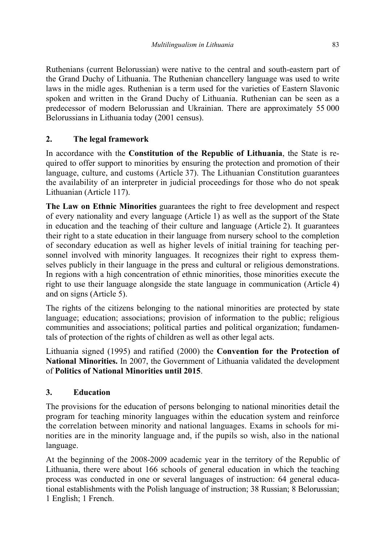Ruthenians (current Belorussian) were native to the central and south-eastern part of the Grand Duchy of Lithuania. The Ruthenian chancellery language was used to write laws in the midle ages. Ruthenian is a term used for the varieties of Eastern Slavonic spoken and written in the Grand Duchy of Lithuania. Ruthenian can be seen as a predecessor of modern Belorussian and Ukrainian. There are approximately 55 000 Belorussians in Lithuania today (2001 census).

# **2. The legal framework**

In accordance with the **Constitution of the Republic of Lithuania**, the State is required to offer support to minorities by ensuring the protection and promotion of their language, culture, and customs (Article 37). The Lithuanian Constitution guarantees the availability of an interpreter in judicial proceedings for those who do not speak Lithuanian (Article 117).

**The Law on Ethnic Minorities** guarantees the right to free development and respect of every nationality and every language (Article 1) as well as the support of the State in education and the teaching of their culture and language (Article 2). It guarantees their right to a state education in their language from nursery school to the completion of secondary education as well as higher levels of initial training for teaching personnel involved with minority languages. It recognizes their right to express themselves publicly in their language in the press and cultural or religious demonstrations. In regions with a high concentration of ethnic minorities, those minorities execute the right to use their language alongside the state language in communication (Article 4) and on signs (Article 5).

The rights of the citizens belonging to the national minorities are protected by state language; education; associations; provision of information to the public; religious communities and associations; political parties and political organization; fundamentals of protection of the rights of children as well as other legal acts.

Lithuania signed (1995) and ratified (2000) the **Convention for the Protection of National Minorities.** In 2007, the Government of Lithuania validated the development of **Politics of National Minorities until 2015**.

## **3. Education**

The provisions for the education of persons belonging to national minorities detail the program for teaching minority languages within the education system and reinforce the correlation between minority and national languages. Exams in schools for minorities are in the minority language and, if the pupils so wish, also in the national language.

At the beginning of the 2008-2009 academic year in the territory of the Republic of Lithuania, there were about 166 schools of general education in which the teaching process was conducted in one or several languages of instruction: 64 general educational establishments with the Polish language of instruction; 38 Russian; 8 Belorussian; 1 English; 1 French.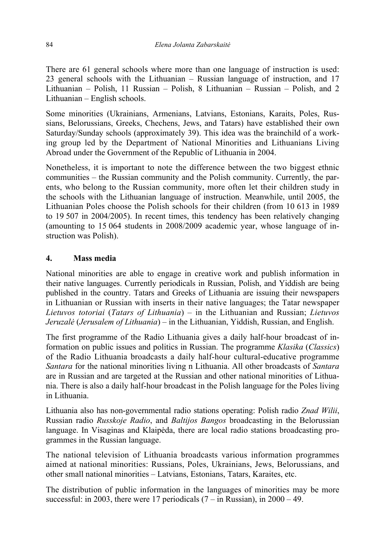There are 61 general schools where more than one language of instruction is used: 23 general schools with the Lithuanian – Russian language of instruction, and 17 Lithuanian – Polish, 11 Russian – Polish, 8 Lithuanian – Russian – Polish, and 2 Lithuanian – English schools.

Some minorities (Ukrainians, Armenians, Latvians, Estonians, Karaits, Poles, Russians, Belorussians, Greeks, Chechens, Jews, and Tatars) have established their own Saturday/Sunday schools (approximately 39). This idea was the brainchild of a working group led by the Department of National Minorities and Lithuanians Living Abroad under the Government of the Republic of Lithuania in 2004.

Nonetheless, it is important to note the difference between the two biggest ethnic communities – the Russian community and the Polish community. Currently, the parents, who belong to the Russian community, more often let their children study in the schools with the Lithuanian language of instruction. Meanwhile, until 2005, the Lithuanian Poles choose the Polish schools for their children (from 10 613 in 1989 to 19 507 in 2004/2005). In recent times, this tendency has been relatively changing (amounting to 15 064 students in 2008/2009 academic year, whose language of instruction was Polish).

#### **4. Mass media**

National minorities are able to engage in creative work and publish information in their native languages. Currently periodicals in Russian, Polish, and Yiddish are being published in the country. Tatars and Greeks of Lithuania are issuing their newspapers in Lithuanian or Russian with inserts in their native languages; the Tatar newspaper *Lietuvos totoriai* (*Tatars of Lithuania*) – in the Lithuanian and Russian; *Lietuvos Jeruzalė* (*Jerusalem of Lithuania*) – in the Lithuanian, Yiddish, Russian, and English.

The first programme of the Radio Lithuania gives a daily half-hour broadcast of information on public issues and politics in Russian. The programme *Klasika* (*Classics*) of the Radio Lithuania broadcasts a daily half-hour cultural-educative programme *Santara* for the national minorities living n Lithuania. All other broadcasts of *Santara*  are in Russian and are targeted at the Russian and other national minorities of Lithuania. There is also a daily half-hour broadcast in the Polish language for the Poles living in Lithuania.

Lithuania also has non-governmental radio stations operating: Polish radio *Znad Wilii*, Russian radio *Russkoje Radio*, and *Baltijos Bangos* broadcasting in the Belorussian language. In Visaginas and Klaipėda, there are local radio stations broadcasting programmes in the Russian language.

The national television of Lithuania broadcasts various information programmes aimed at national minorities: Russians, Poles, Ukrainians, Jews, Belorussians, and other small national minorities – Latvians, Estonians, Tatars, Karaites, etc.

The distribution of public information in the languages of minorities may be more successful: in 2003, there were 17 periodicals  $(7 - in Russian)$ , in  $2000 - 49$ .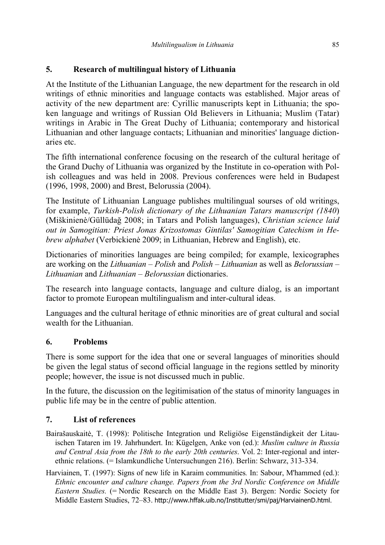# **5. Research of multilingual history of Lithuania**

At the Institute of the Lithuanian Language, the new department for the research in old writings of ethnic minorities and language contacts was established. Major areas of activity of the new department are: Cyrillic manuscripts kept in Lithuania; the spoken language and writings of Russian Old Believers in Lithuania; Muslim (Tatar) writings in Arabic in The Great Duchy of Lithuania; contemporary and historical Lithuanian and other language contacts; Lithuanian and minorities' language dictionaries etc.

The fifth international conference focusing on the research of the cultural heritage of the Grand Duchy of Lithuania was organized by the Institute in co-operation with Polish colleagues and was held in 2008. Previous conferences were held in Budapest (1996, 1998, 2000) and Brest, Belorussia (2004).

The Institute of Lithuanian Language publishes multilingual sourses of old writings, for example, *Turkish-Polish dictionary of the Lithuanian Tatars manuscript (1840*) (Miškinienė/Güllüdağ 2008; in Tatars and Polish languages), *Christian science laid out in Samogitian: Priest Jonas Krizostomas Gintilas' Samogitian Catechism in Hebrew alphabet* (Verbickienė 2009; in Lithuanian, Hebrew and English), etc.

Dictionaries of minorities languages are being compiled; for example, lexicographes are working on the *Lithuanian – Polish* and *Polish – Lithuanian* as well as *Belorussian – Lithuanian* and *Lithuanian – Belorussian* dictionaries.

The research into language contacts, language and culture dialog, is an important factor to promote European multilingualism and inter-cultural ideas.

Languages and the cultural heritage of ethnic minorities are of great cultural and social wealth for the Lithuanian.

## **6. Problems**

There is some support for the idea that one or several languages of minorities should be given the legal status of second official language in the regions settled by minority people; however, the issue is not discussed much in public.

In the future, the discussion on the legitimisation of the status of minority languages in public life may be in the centre of public attention.

## **7. List of references**

- Bairašauskaitė, T. (1998): Politische Integration und Religiöse Eigenständigkeit der Litauischen Tataren im 19. Jahrhundert. In: Kügelgen, Anke von (ed.): *Muslim culture in Russia and Central Asia from the 18th to the early 20th centuries*. Vol. 2: Inter-regional and interethnic relations. (= Islamkundliche Untersuchungen 216). Berlin: Schwarz, 313-334.
- Harviainen, T. (1997): Signs of new life in Karaim communities*.* In: Sabour, M'hammed (ed.): *Ethnic encounter and culture change. Papers from the 3rd Nordic Conference on Middle Eastern Studies.* (= Nordic Research on the Middle East 3). Bergen: Nordic Society for Middle Eastern Studies, 72–83. http://www.hffak.uib.no/Institutter/smi/paj/HarviainenD.html.